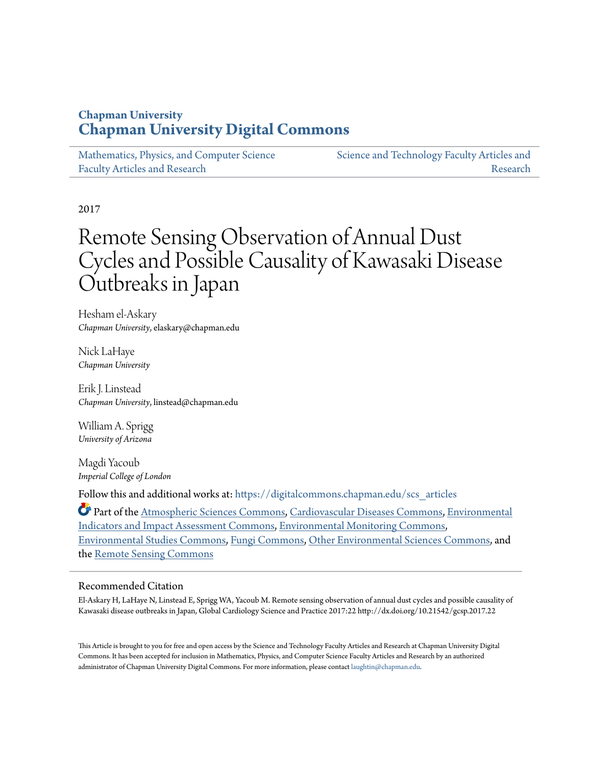### **Chapman University [Chapman University Digital Commons](https://digitalcommons.chapman.edu?utm_source=digitalcommons.chapman.edu%2Fscs_articles%2F551&utm_medium=PDF&utm_campaign=PDFCoverPages)**

[Mathematics, Physics, and Computer Science](https://digitalcommons.chapman.edu/scs_articles?utm_source=digitalcommons.chapman.edu%2Fscs_articles%2F551&utm_medium=PDF&utm_campaign=PDFCoverPages) [Faculty Articles and Research](https://digitalcommons.chapman.edu/scs_articles?utm_source=digitalcommons.chapman.edu%2Fscs_articles%2F551&utm_medium=PDF&utm_campaign=PDFCoverPages)

[Science and Technology Faculty Articles and](https://digitalcommons.chapman.edu/science_articles?utm_source=digitalcommons.chapman.edu%2Fscs_articles%2F551&utm_medium=PDF&utm_campaign=PDFCoverPages) [Research](https://digitalcommons.chapman.edu/science_articles?utm_source=digitalcommons.chapman.edu%2Fscs_articles%2F551&utm_medium=PDF&utm_campaign=PDFCoverPages)

2017

# Remote Sensing Observation of Annual Dust Cycles and Possible Causality of Kawasaki Disease Outbreaks in Japan

Hesham el-Askary *Chapman University*, elaskary@chapman.edu

Nick LaHaye *Chapman University*

Erik J. Linstead *Chapman University*, linstead@chapman.edu

William A. Sprigg *University of Arizona*

Magdi Yacoub *Imperial College of London*

Follow this and additional works at: [https://digitalcommons.chapman.edu/scs\\_articles](https://digitalcommons.chapman.edu/scs_articles?utm_source=digitalcommons.chapman.edu%2Fscs_articles%2F551&utm_medium=PDF&utm_campaign=PDFCoverPages)

Part of the [Atmospheric Sciences Commons,](http://network.bepress.com/hgg/discipline/187?utm_source=digitalcommons.chapman.edu%2Fscs_articles%2F551&utm_medium=PDF&utm_campaign=PDFCoverPages) [Cardiovascular Diseases Commons,](http://network.bepress.com/hgg/discipline/929?utm_source=digitalcommons.chapman.edu%2Fscs_articles%2F551&utm_medium=PDF&utm_campaign=PDFCoverPages) [Environmental](http://network.bepress.com/hgg/discipline/1015?utm_source=digitalcommons.chapman.edu%2Fscs_articles%2F551&utm_medium=PDF&utm_campaign=PDFCoverPages) [Indicators and Impact Assessment Commons](http://network.bepress.com/hgg/discipline/1015?utm_source=digitalcommons.chapman.edu%2Fscs_articles%2F551&utm_medium=PDF&utm_campaign=PDFCoverPages), [Environmental Monitoring Commons,](http://network.bepress.com/hgg/discipline/931?utm_source=digitalcommons.chapman.edu%2Fscs_articles%2F551&utm_medium=PDF&utm_campaign=PDFCoverPages) [Environmental Studies Commons,](http://network.bepress.com/hgg/discipline/1333?utm_source=digitalcommons.chapman.edu%2Fscs_articles%2F551&utm_medium=PDF&utm_campaign=PDFCoverPages) [Fungi Commons,](http://network.bepress.com/hgg/discipline/962?utm_source=digitalcommons.chapman.edu%2Fscs_articles%2F551&utm_medium=PDF&utm_campaign=PDFCoverPages) [Other Environmental Sciences Commons,](http://network.bepress.com/hgg/discipline/173?utm_source=digitalcommons.chapman.edu%2Fscs_articles%2F551&utm_medium=PDF&utm_campaign=PDFCoverPages) and the [Remote Sensing Commons](http://network.bepress.com/hgg/discipline/1192?utm_source=digitalcommons.chapman.edu%2Fscs_articles%2F551&utm_medium=PDF&utm_campaign=PDFCoverPages)

#### Recommended Citation

El-Askary H, LaHaye N, Linstead E, Sprigg WA, Yacoub M. Remote sensing observation of annual dust cycles and possible causality of Kawasaki disease outbreaks in Japan, Global Cardiology Science and Practice 2017:22 http://dx.doi.org/10.21542/gcsp.2017.22

This Article is brought to you for free and open access by the Science and Technology Faculty Articles and Research at Chapman University Digital Commons. It has been accepted for inclusion in Mathematics, Physics, and Computer Science Faculty Articles and Research by an authorized administrator of Chapman University Digital Commons. For more information, please contact [laughtin@chapman.edu.](mailto:laughtin@chapman.edu)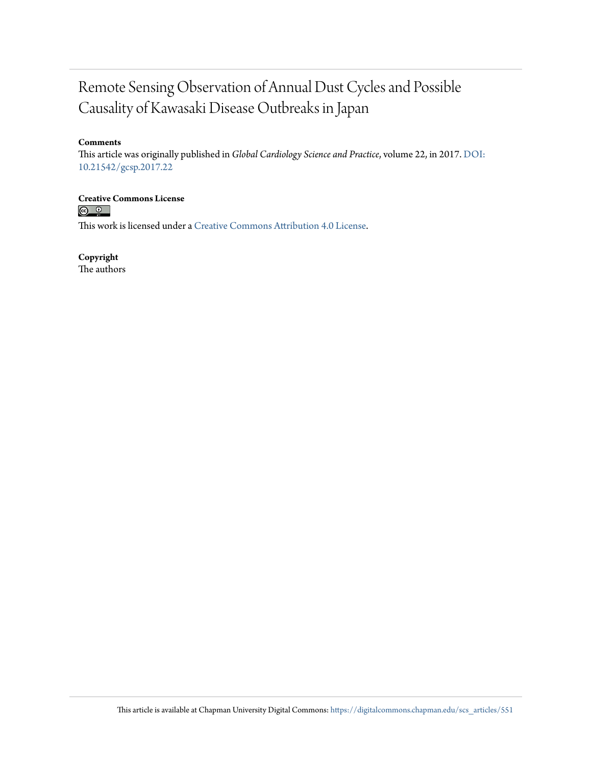### Remote Sensing Observation of Annual Dust Cycles and Possible Causality of Kawasaki Disease Outbreaks in Japan

#### **Comments**

This article was originally published in *Global Cardiology Science and Practice*, volume 22, in 2017. [DOI:](https://doi.org/10.21542/gcsp.2017.22) [10.21542/gcsp.2017.22](https://doi.org/10.21542/gcsp.2017.22)

**Creative Commons License**

 $\circ$   $\circ$ 

This work is licensed under a [Creative Commons Attribution 4.0 License.](https://creativecommons.org/licenses/by/4.0/)

**Copyright**

The authors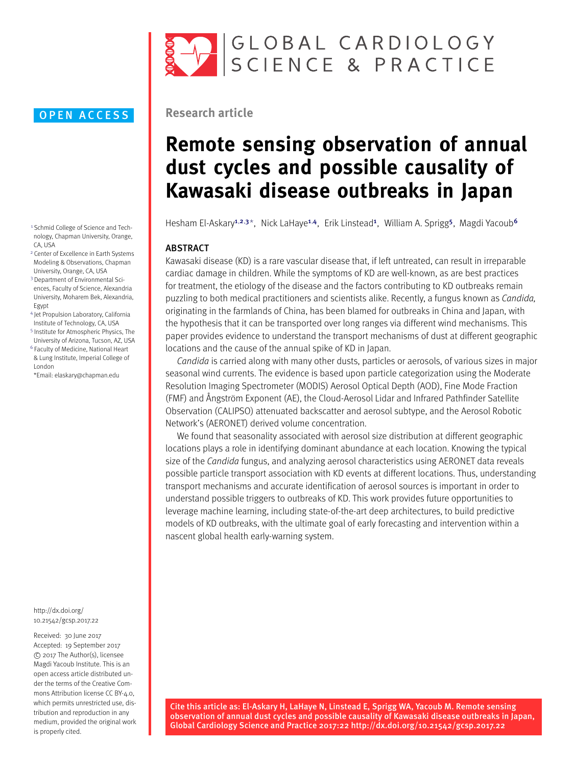

- <span id="page-2-0"></span><sup>1</sup> Schmid College of Science and Technology, Chapman University, Orange, CA, USA
- <span id="page-2-1"></span><sup>2</sup> Center of Excellence in Earth Systems Modeling & Observations, Chapman University, Orange, CA, USA
- <span id="page-2-2"></span><sup>3</sup> Department of Environmental Sciences, Faculty of Science, Alexandria University, Moharem Bek, Alexandria, Egypt
- <span id="page-2-4"></span><sup>4</sup> Jet Propulsion Laboratory, California Institute of Technology, CA, USA
- <span id="page-2-5"></span><sup>5</sup> Institute for Atmospheric Physics, The University of Arizona, Tucson, AZ, USA
- <span id="page-2-6"></span><sup>6</sup> Faculty of Medicine, National Heart & Lung Institute, Imperial College of London
- <span id="page-2-3"></span>\*Email: [elaskary@chapman.edu](mailto:elaskary@chapman.edu)

[http://dx.doi.org/](http://dx.doi.org/10.21542/gcsp.2017.22) [10.21542/gcsp.2017.22](http://dx.doi.org/10.21542/gcsp.2017.22)

Received: 30 June 2017 Accepted: 19 September 2017 c 2017 The Author(s), licensee Magdi Yacoub Institute. This is an open access article distributed under the terms of the Creative Commons Attribution license CC BY-4.0. which permits unrestricted use, distribution and reproduction in any medium, provided the original work is properly cited.



#### **Research article**

# **Remote sensing observation of annual dust cycles and possible causality of Kawasaki disease outbreaks in Japan**

Hesham El-Askary<sup>[1](#page-2-0),[2](#page-2-1),[3](#page-2-2)\*</sup>, Nick LaHaye<sup>1,[4](#page-2-4)</sup>, Erik Linstead<sup>1</sup>, William A. Sprigg<sup>[5](#page-2-5)</sup>, Magdi Yacoub<sup>[6](#page-2-6)</sup>

#### ABSTRACT

Kawasaki disease (KD) is a rare vascular disease that, if left untreated, can result in irreparable cardiac damage in children. While the symptoms of KD are well-known, as are best practices for treatment, the etiology of the disease and the factors contributing to KD outbreaks remain puzzling to both medical practitioners and scientists alike. Recently, a fungus known as *Candida,* originating in the farmlands of China, has been blamed for outbreaks in China and Japan, with the hypothesis that it can be transported over long ranges via different wind mechanisms. This paper provides evidence to understand the transport mechanisms of dust at different geographic locations and the cause of the annual spike of KD in Japan.

*Candida* is carried along with many other dusts, particles or aerosols, of various sizes in major seasonal wind currents. The evidence is based upon particle categorization using the Moderate Resolution Imaging Spectrometer (MODIS) Aerosol Optical Depth (AOD), Fine Mode Fraction (FMF) and Ångström Exponent (AE), the Cloud-Aerosol Lidar and Infrared Pathfinder Satellite Observation (CALIPSO) attenuated backscatter and aerosol subtype, and the Aerosol Robotic Network's (AERONET) derived volume concentration.

We found that seasonality associated with aerosol size distribution at different geographic locations plays a role in identifying dominant abundance at each location. Knowing the typical size of the *Candida* fungus, and analyzing aerosol characteristics using AERONET data reveals possible particle transport association with KD events at different locations. Thus, understanding transport mechanisms and accurate identification of aerosol sources is important in order to understand possible triggers to outbreaks of KD. This work provides future opportunities to leverage machine learning, including state-of-the-art deep architectures, to build predictive models of KD outbreaks, with the ultimate goal of early forecasting and intervention within a nascent global health early-warning system.

Cite this article as: El-Askary H, LaHaye N, Linstead E, Sprigg WA, Yacoub M. Remote sensing observation of annual dust cycles and possible causality of Kawasaki disease outbreaks in Japan, Global Cardiology Science and Practice 2017:22 http://dx.doi.org/10.21542/gcsp.2017.22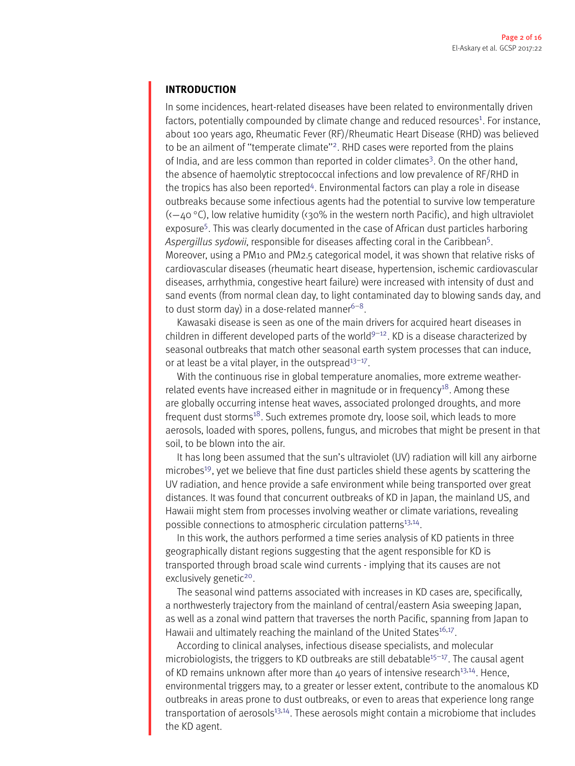#### **INTRODUCTION**

In some incidences, heart-related diseases have been related to environmentally driven factors, potentially compounded by climate change and reduced resources<sup>1</sup>. For instance, about 100 years ago, Rheumatic Fever (RF)/Rheumatic Heart Disease (RHD) was believed to be an ailment of ''temperate climate'['2.](#page-15-1) RHD cases were reported from the plains of India, and are less common than reported in colder climates<sup>3</sup>. On the other hand, the absence of haemolytic streptococcal infections and low prevalence of RF/RHD in the tropics has also been reported<sup>4</sup>. Environmental factors can play a role in disease outbreaks because some infectious agents had the potential to survive low temperature  $(-40 °C)$ , low relative humidity (< $30%$  in the western north Pacific), and high ultraviolet exposure<sup>5</sup>. This was clearly documented in the case of African dust particles harboring *Aspergillus sydowii*, responsible for diseases affecting coral in the Caribbea[n5.](#page-15-4) Moreover, using a PM10 and PM2.5 categorical model, it was shown that relative risks of cardiovascular diseases (rheumatic heart disease, hypertension, ischemic cardiovascular diseases, arrhythmia, congestive heart failure) were increased with intensity of dust and sand events (from normal clean day, to light contaminated day to blowing sands day, and to dust storm day) in a dose-related manner<sup>6-8</sup>.

Kawasaki disease is seen as one of the main drivers for acquired heart diseases in children in different developed parts of the world<sup>9-12</sup>. KD is a disease characterized by seasonal outbreaks that match other seasonal earth system processes that can induce, or at least be a vital player, in the outspread $13-17$ .

With the continuous rise in global temperature anomalies, more extreme weatherrelated events have increased either in magnitude or in frequency<sup>18</sup>. Among these are globally occurring intense heat waves, associated prolonged droughts, and more frequent dust storms<sup>18</sup>. Such extremes promote dry, loose soil, which leads to more aerosols, loaded with spores, pollens, fungus, and microbes that might be present in that soil, to be blown into the air.

It has long been assumed that the sun's ultraviolet (UV) radiation will kill any airborne microbe[s19,](#page-16-0) yet we believe that fine dust particles shield these agents by scattering the UV radiation, and hence provide a safe environment while being transported over great distances. It was found that concurrent outbreaks of KD in Japan, the mainland US, and Hawaii might stem from processes involving weather or climate variations, revealing possible connections to atmospheric circulation patterns<sup>13,14</sup>.

In this work, the authors performed a time series analysis of KD patients in three geographically distant regions suggesting that the agent responsible for KD is transported through broad scale wind currents - implying that its causes are not exclusively genetic<sup>20</sup>.

The seasonal wind patterns associated with increases in KD cases are, specifically, a northwesterly trajectory from the mainland of central/eastern Asia sweeping Japan, as well as a zonal wind pattern that traverses the north Pacific, spanning from Japan to Hawaii and ultimately reaching the mainland of the United States<sup>16,17</sup>.

According to clinical analyses, infectious disease specialists, and molecular microbiologists, the triggers to KD outbreaks are still debatable<sup>15-17</sup>. The causal agent of KD remains unknown after more than 40 years of intensive research<sup>13,14</sup>. Hence, environmental triggers may, to a greater or lesser extent, contribute to the anomalous KD outbreaks in areas prone to dust outbreaks, or even to areas that experience long range transportation of aerosols<sup>13,14</sup>. These aerosols might contain a microbiome that includes the KD agent.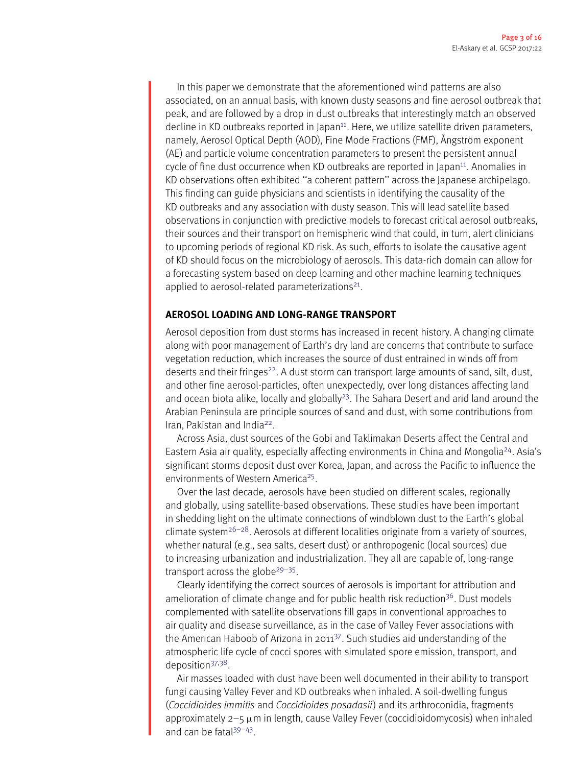In this paper we demonstrate that the aforementioned wind patterns are also associated, on an annual basis, with known dusty seasons and fine aerosol outbreak that peak, and are followed by a drop in dust outbreaks that interestingly match an observed decline in KD outbreaks reported in Japan<sup>11</sup>. Here, we utilize satellite driven parameters, namely, Aerosol Optical Depth (AOD), Fine Mode Fractions (FMF), Ångström exponent (AE) and particle volume concentration parameters to present the persistent annual cycle of fine dust occurrence when KD outbreaks are reported in Japan<sup>11</sup>. Anomalies in KD observations often exhibited ''a coherent pattern'' across the Japanese archipelago. This finding can guide physicians and scientists in identifying the causality of the KD outbreaks and any association with dusty season. This will lead satellite based observations in conjunction with predictive models to forecast critical aerosol outbreaks, their sources and their transport on hemispheric wind that could, in turn, alert clinicians to upcoming periods of regional KD risk. As such, efforts to isolate the causative agent of KD should focus on the microbiology of aerosols. This data-rich domain can allow for a forecasting system based on deep learning and other machine learning techniques applied to aerosol-related parameterizations $21$ .

#### **AEROSOL LOADING AND LONG-RANGE TRANSPORT**

Aerosol deposition from dust storms has increased in recent history. A changing climate along with poor management of Earth's dry land are concerns that contribute to surface vegetation reduction, which increases the source of dust entrained in winds off from deserts and their fringes<sup>22</sup>. A dust storm can transport large amounts of sand, silt, dust, and other fine aerosol-particles, often unexpectedly, over long distances affecting land and ocean biota alike, locally and globally<sup>23</sup>. The Sahara Desert and arid land around the Arabian Peninsula are principle sources of sand and dust, with some contributions from Iran, Pakistan and India<sup>22</sup>.

Across Asia, dust sources of the Gobi and Taklimakan Deserts affect the Central and Eastern Asia air quality, especially affecting environments in China and Mongoli[a24.](#page-16-5) Asia's significant storms deposit dust over Korea, Japan, and across the Pacific to influence the environments of Western America<sup>25</sup>.

Over the last decade, aerosols have been studied on different scales, regionally and globally, using satellite-based observations. These studies have been important in shedding light on the ultimate connections of windblown dust to the Earth's global climate system<sup>[26](#page-16-7)–28</sup>. Aerosols at different localities originate from a variety of sources, whether natural (e.g., sea salts, desert dust) or anthropogenic (local sources) due to increasing urbanization and industrialization. They all are capable of, long-range transport across the globe $29-35$ .

Clearly identifying the correct sources of aerosols is important for attribution and amelioration of climate change and for public health risk reduction<sup>36</sup>. Dust models complemented with satellite observations fill gaps in conventional approaches to air quality and disease surveillance, as in the case of Valley Fever associations with the American Haboob of Arizona in 201[137.](#page-16-12) Such studies aid understanding of the atmospheric life cycle of cocci spores with simulated spore emission, transport, and depositio[n37](#page-16-12)[,38.](#page-16-13)

Air masses loaded with dust have been well documented in their ability to transport fungi causing Valley Fever and KD outbreaks when inhaled. A soil-dwelling fungus (*Coccidioides immitis* and *Coccidioides posadasii*) and its arthroconidia, fragments approximately  $2-5 \mu$ m in length, cause Valley Fever (coccidioidomycosis) when inhaled and can be fatal<sup>39-43</sup>.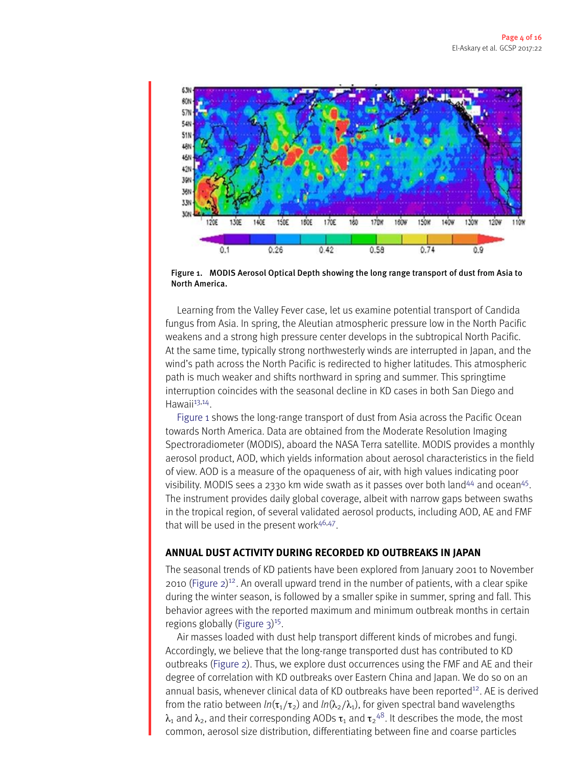<span id="page-5-0"></span>

Figure 1. MODIS Aerosol Optical Depth showing the long range transport of dust from Asia to North America.

Learning from the Valley Fever case, let us examine potential transport of Candida fungus from Asia. In spring, the Aleutian atmospheric pressure low in the North Pacific weakens and a strong high pressure center develops in the subtropical North Pacific. At the same time, typically strong northwesterly winds are interrupted in Japan, and the wind's path across the North Pacific is redirected to higher latitudes. This atmospheric path is much weaker and shifts northward in spring and summer. This springtime interruption coincides with the seasonal decline in KD cases in both San Diego and Hawaii $13,14$  $13,14$ .

[Figure](#page-5-0) [1](#page-5-0) shows the long-range transport of dust from Asia across the Pacific Ocean towards North America. Data are obtained from the Moderate Resolution Imaging Spectroradiometer (MODIS), aboard the NASA Terra satellite. MODIS provides a monthly aerosol product, AOD, which yields information about aerosol characteristics in the field of view. AOD is a measure of the opaqueness of air, with high values indicating poor visibility. MODIS sees a 2330 km wide swath as it passes over both land $44$  and ocean $45$ . The instrument provides daily global coverage, albeit with narrow gaps between swaths in the tropical region, of several validated aerosol products, including AOD, AE and FMF that will be used in the present work<sup>[46,](#page-16-18)47</sup>.

#### **ANNUAL DUST ACTIVITY DURING RECORDED KD OUTBREAKS IN JAPAN**

The seasonal trends of KD patients have been explored from January 2001 to November 2010 [\(Figure](#page-6-0) [2\)](#page-6-0) [12.](#page-15-8) An overall upward trend in the number of patients, with a clear spike during the winter season, is followed by a smaller spike in summer, spring and fall. This behavior agrees with the reported maximum and minimum outbreak months in certain regions globally [\(Figure](#page-6-1) [3\)](#page-6-1)<sup>15</sup>.

Air masses loaded with dust help transport different kinds of microbes and fungi. Accordingly, we believe that the long-range transported dust has contributed to KD outbreaks [\(Figure](#page-6-0) [2\)](#page-6-0). Thus, we explore dust occurrences using the FMF and AE and their degree of correlation with KD outbreaks over Eastern China and Japan. We do so on an annual basis, whenever clinical data of KD outbreaks have been reported<sup>12</sup>. AE is derived from the ratio between  $ln(\tau_1/\tau_2)$  and  $ln(\lambda_2/\lambda_1)$ , for given spectral band wavelengths  $\lambda_1$  and  $\lambda_2$ , and their corresponding AODs  $\tau_1$  and  $\tau_2{}^{48}$ . It describes the mode, the most common, aerosol size distribution, differentiating between fine and coarse particles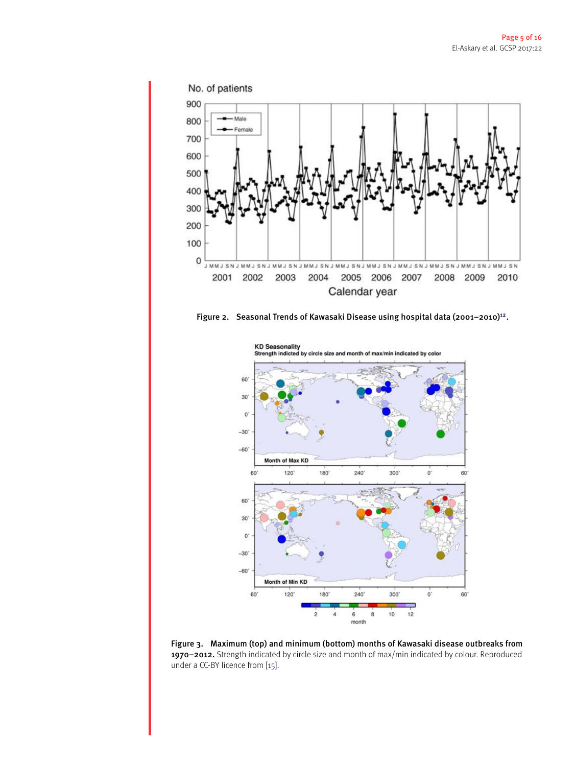<span id="page-6-0"></span>

<span id="page-6-1"></span>



Figure 3. Maximum (top) and minimum (bottom) months of Kawasaki disease outbreaks from 1970–2012. Strength indicated by circle size and month of max/min indicated by colour. Reproduced under a CC-BY licence from [\[15\]](#page-15-14).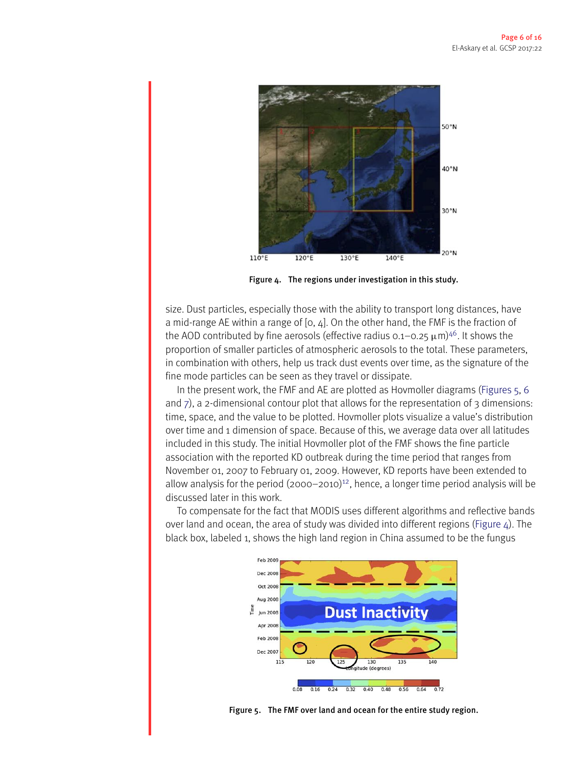<span id="page-7-1"></span>

Figure 4. The regions under investigation in this study.

size. Dust particles, especially those with the ability to transport long distances, have a mid-range AE within a range of  $[0, 4]$ . On the other hand, the FMF is the fraction of the AOD contributed by fine aerosols (effective radius  $0.1-0.25 \mu m$ )<sup>46</sup>. It shows the proportion of smaller particles of atmospheric aerosols to the total. These parameters, in combination with others, help us track dust events over time, as the signature of the fine mode particles can be seen as they travel or dissipate.

In the present work, the FMF and AE are plotted as Hovmoller diagrams [\(Figures](#page-7-0) [5,](#page-7-0) [6](#page-8-0) and  $\overline{z}$ ), a 2-dimensional contour plot that allows for the representation of 3 dimensions: time, space, and the value to be plotted. Hovmoller plots visualize a value's distribution over time and 1 dimension of space. Because of this, we average data over all latitudes included in this study. The initial Hovmoller plot of the FMF shows the fine particle association with the reported KD outbreak during the time period that ranges from November 01, 2007 to February 01, 2009. However, KD reports have been extended to allow analysis for the period  $(2000-2010)^{12}$ , hence, a longer time period analysis will be discussed later in this work.

<span id="page-7-0"></span>To compensate for the fact that MODIS uses different algorithms and reflective bands over land and ocean, the area of study was divided into different regions [\(Figure](#page-7-1)  $\Delta$ ). The black box, labeled 1, shows the high land region in China assumed to be the fungus



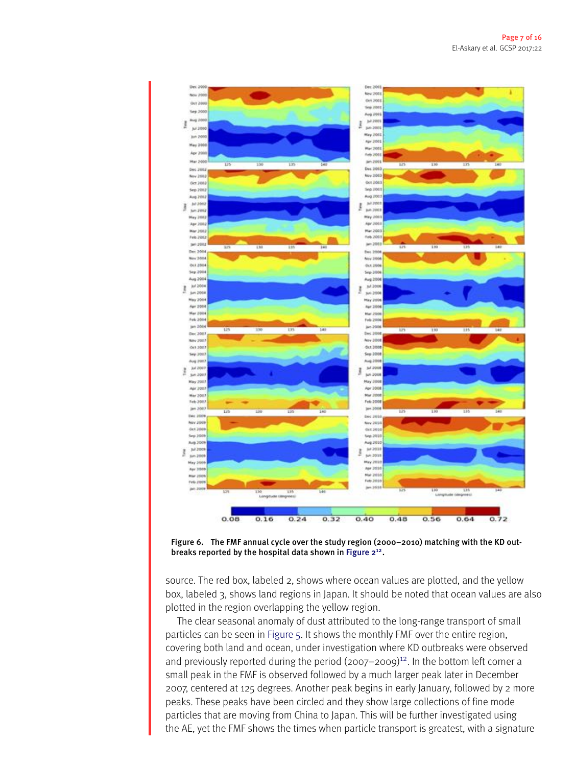<span id="page-8-0"></span>

Figure 6. The FMF annual cycle over the study region (2000–2010) matching with the KD out-breaks reported by the hospital data shown in [Figure](#page-6-0)  $2^{12}$  $2^{12}$ .

source. The red box, labeled 2, shows where ocean values are plotted, and the yellow box, labeled 3, shows land regions in Japan. It should be noted that ocean values are also plotted in the region overlapping the yellow region.

The clear seasonal anomaly of dust attributed to the long-range transport of small particles can be seen in [Figure](#page-7-0) [5.](#page-7-0) It shows the monthly FMF over the entire region, covering both land and ocean, under investigation where KD outbreaks were observed and previously reported during the period  $(2007-2009)^{12}$ . In the bottom left corner a small peak in the FMF is observed followed by a much larger peak later in December 2007, centered at 125 degrees. Another peak begins in early January, followed by 2 more peaks. These peaks have been circled and they show large collections of fine mode particles that are moving from China to Japan. This will be further investigated using the AE, yet the FMF shows the times when particle transport is greatest, with a signature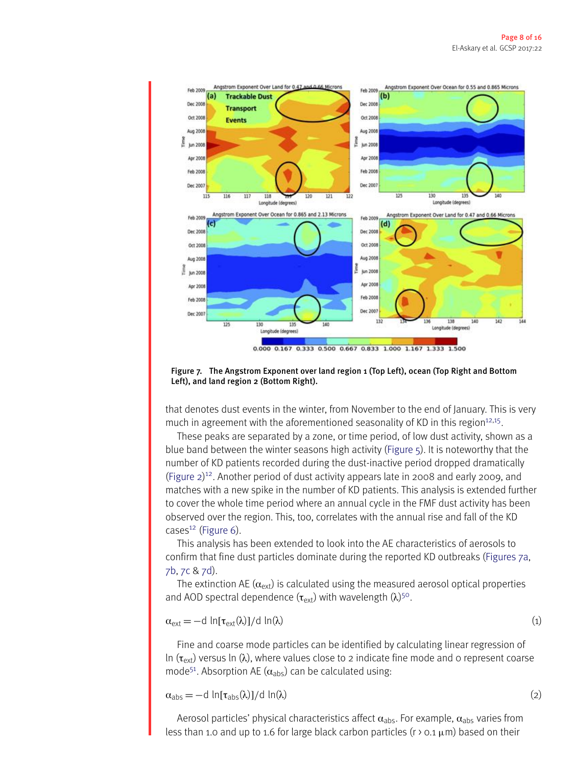<span id="page-9-0"></span>

Figure 7. The Angstrom Exponent over land region 1 (Top Left), ocean (Top Right and Bottom Left), and land region 2 (Bottom Right).

that denotes dust events in the winter, from November to the end of January. This is very much in agreement with the aforementioned seasonality of KD in this region<sup>12,15</sup>.

These peaks are separated by a zone, or time period, of low dust activity, shown as a blue band between the winter seasons high activity [\(Figure](#page-7-0) [5\)](#page-7-0). It is noteworthy that the number of KD patients recorded during the dust-inactive period dropped dramatically [\(Figure](#page-6-0) [2\)](#page-6-0) [12.](#page-15-8) Another period of dust activity appears late in 2008 and early 2009, and matches with a new spike in the number of KD patients. This analysis is extended further to cover the whole time period where an annual cycle in the FMF dust activity has been observed over the region. This, too, correlates with the annual rise and fall of the KD  $cases<sup>12</sup>$  $cases<sup>12</sup>$  $cases<sup>12</sup>$  [\(Figure](#page-8-0) [6\)](#page-8-0).

This analysis has been extended to look into the AE characteristics of aerosols to confirm that fine dust particles dominate during the reported KD outbreaks [\(Figures](#page-9-0) [7a,](#page-9-0) [7b,](#page-9-0) [7c](#page-9-0) & [7d\)](#page-9-0).

The extinction AE ( $\alpha_{ext}$ ) is calculated using the measured aerosol optical properties and AOD spectral dependence  $(\tau_{ext})$  with wavelength  $(\lambda)$ <sup>50</sup>.

$$
\alpha_{\text{ext}} = -d \ln[\tau_{\text{ext}}(\lambda)]/d \ln(\lambda) \tag{1}
$$

Fine and coarse mode particles can be identified by calculating linear regression of In  $(\tau_{ext})$  versus In ( $\lambda$ ), where values close to 2 indicate fine mode and 0 represent coarse mode<sup>51</sup>. Absorption AE ( $\alpha_{\text{abs}}$ ) can be calculated using:

 $\alpha_{\text{abs}} = -d \ln[\tau_{\text{abs}}(\lambda)]/d \ln(\lambda)$  (2)

Aerosol particles' physical characteristics affect  $\alpha_{abc}$ . For example,  $\alpha_{abc}$  varies from less than 1.0 and up to 1.6 for large black carbon particles ( $r > 0.1 \mu m$ ) based on their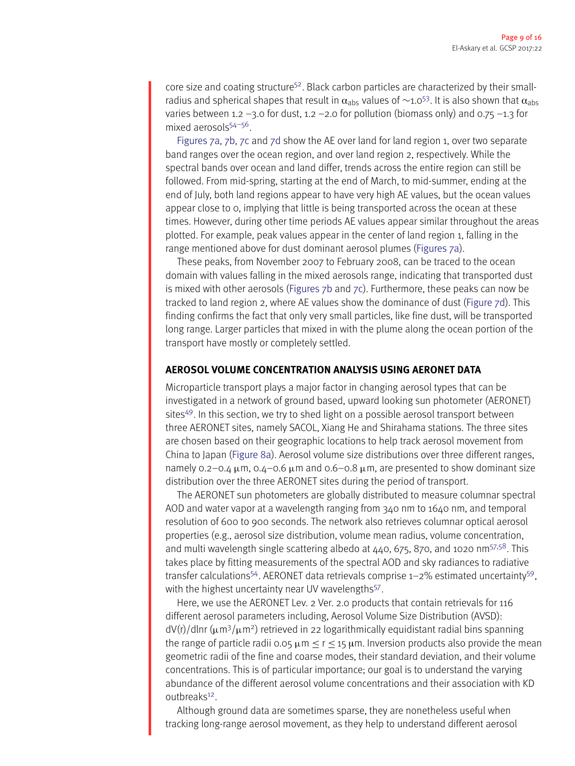core size and coating structure<sup>52</sup>. Black carbon particles are characterized by their smallradius and spherical shapes that result in  $\alpha_{abs}$  values of  $\sim$ 1.0<sup>53</sup>. It is also shown that  $\alpha_{abs}$ varies between 1.2 –3.0 for dust, 1.2 –2.0 for pollution (biomass only) and 0.75 –1.3 for mixed aerosol $5^{54-56}$  $5^{54-56}$  $5^{54-56}$ .

[Figures](#page-9-0) [7a,](#page-9-0) [7b,](#page-9-0) [7c](#page-9-0) and [7d](#page-9-0) show the AE over land for land region 1, over two separate band ranges over the ocean region, and over land region 2, respectively. While the spectral bands over ocean and land differ, trends across the entire region can still be followed. From mid-spring, starting at the end of March, to mid-summer, ending at the end of July, both land regions appear to have very high AE values, but the ocean values appear close to 0, implying that little is being transported across the ocean at these times. However, during other time periods AE values appear similar throughout the areas plotted. For example, peak values appear in the center of land region 1, falling in the range mentioned above for dust dominant aerosol plumes [\(Figures](#page-9-0) [7a\)](#page-9-0).

These peaks, from November 2007 to February 2008, can be traced to the ocean domain with values falling in the mixed aerosols range, indicating that transported dust is mixed with other aerosols [\(Figures](#page-9-0)  $7b$  and  $7c$ ). Furthermore, these peaks can now be tracked to land region 2, where AE values show the dominance of dust [\(Figure](#page-9-0) [7d\)](#page-9-0). This finding confirms the fact that only very small particles, like fine dust, will be transported long range. Larger particles that mixed in with the plume along the ocean portion of the transport have mostly or completely settled.

#### **AEROSOL VOLUME CONCENTRATION ANALYSIS USING AERONET DATA**

Microparticle transport plays a major factor in changing aerosol types that can be investigated in a network of ground based, upward looking sun photometer (AERONET) sites<sup>49</sup>. In this section, we try to shed light on a possible aerosol transport between three AERONET sites, namely SACOL, Xiang He and Shirahama stations. The three sites are chosen based on their geographic locations to help track aerosol movement from China to Japan [\(Figure](#page-11-0) [8a\)](#page-11-0). Aerosol volume size distributions over three different ranges, namely 0.2–0.4  $\mu$ m, 0.4–0.6  $\mu$ m and 0.6–0.8  $\mu$ m, are presented to show dominant size distribution over the three AERONET sites during the period of transport.

The AERONET sun photometers are globally distributed to measure columnar spectral AOD and water vapor at a wavelength ranging from 340 nm to 1640 nm, and temporal resolution of 600 to 900 seconds. The network also retrieves columnar optical aerosol properties (e.g., aerosol size distribution, volume mean radius, volume concentration, and multi wavelength single scattering albedo at  $440, 675, 870$ , and 1020 nm<sup>57,58</sup>. This takes place by fitting measurements of the spectral AOD and sky radiances to radiative transfer calculations<sup>54</sup>. AERONET data retrievals comprise  $1-2%$  estimated uncertainty<sup>59</sup>, with the highest uncertainty near UV wavelengths<sup>57</sup>.

Here, we use the AERONET Lev. 2 Ver. 2.0 products that contain retrievals for 116 different aerosol parameters including, Aerosol Volume Size Distribution (AVSD):  $dV(r)/d\ln(r(\mu m^3/\mu m^2))$  retrieved in 22 logarithmically equidistant radial bins spanning the range of particle radii 0.05  $\mu$ m  $\leq$  r  $\leq$  15  $\mu$ m. Inversion products also provide the mean geometric radii of the fine and coarse modes, their standard deviation, and their volume concentrations. This is of particular importance; our goal is to understand the varying abundance of the different aerosol volume concentrations and their association with KD outbreaks<sup>12</sup>.

Although ground data are sometimes sparse, they are nonetheless useful when tracking long-range aerosol movement, as they help to understand different aerosol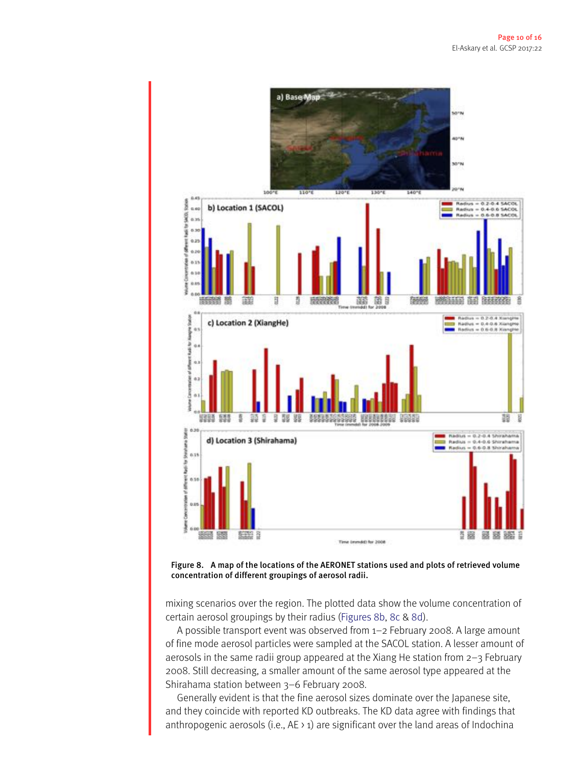<span id="page-11-0"></span>



mixing scenarios over the region. The plotted data show the volume concentration of certain aerosol groupings by their radius [\(Figures](#page-11-0) [8b,](#page-11-0) [8c](#page-11-0) & [8d\)](#page-11-0).

A possible transport event was observed from 1–2 February 2008. A large amount of fine mode aerosol particles were sampled at the SACOL station. A lesser amount of aerosols in the same radii group appeared at the Xiang He station from 2–3 February 2008. Still decreasing, a smaller amount of the same aerosol type appeared at the Shirahama station between 3–6 February 2008.

Generally evident is that the fine aerosol sizes dominate over the Japanese site, and they coincide with reported KD outbreaks. The KD data agree with findings that anthropogenic aerosols (i.e.,  $AE \rightarrow 1$ ) are significant over the land areas of Indochina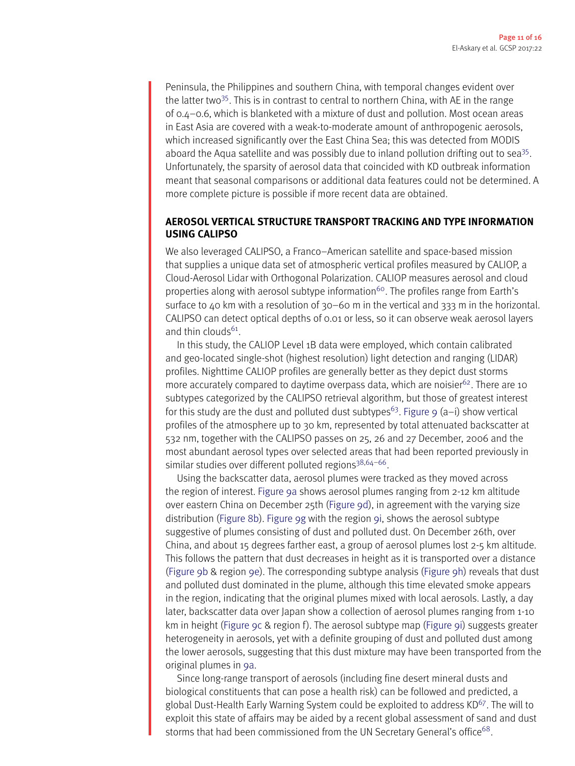Peninsula, the Philippines and southern China, with temporal changes evident over the latter two<sup>35</sup>. This is in contrast to central to northern China, with AE in the range of 0.4–0.6, which is blanketed with a mixture of dust and pollution. Most ocean areas in East Asia are covered with a weak-to-moderate amount of anthropogenic aerosols, which increased significantly over the East China Sea; this was detected from MODIS aboard the Aqua satellite and was possibly due to inland pollution drifting out to sea<sup>35</sup>. Unfortunately, the sparsity of aerosol data that coincided with KD outbreak information meant that seasonal comparisons or additional data features could not be determined. A more complete picture is possible if more recent data are obtained.

#### **AEROSOL VERTICAL STRUCTURE TRANSPORT TRACKING AND TYPE INFORMATION USING CALIPSO**

We also leveraged CALIPSO, a Franco–American satellite and space-based mission that supplies a unique data set of atmospheric vertical profiles measured by CALIOP, a Cloud-Aerosol Lidar with Orthogonal Polarization. CALIOP measures aerosol and cloud properties along with aerosol subtype information<sup>60</sup>. The profiles range from Earth's surface to 40 km with a resolution of 30–60 m in the vertical and 333 m in the horizontal. CALIPSO can detect optical depths of 0.01 or less, so it can observe weak aerosol layers and thin clouds $61$ .

In this study, the CALIOP Level 1B data were employed, which contain calibrated and geo-located single-shot (highest resolution) light detection and ranging (LIDAR) profiles. Nighttime CALIOP profiles are generally better as they depict dust storms more accurately compared to daytime overpass data, which are noisier $62$ . There are 10 subtypes categorized by the CALIPSO retrieval algorithm, but those of greatest interest for this study are the dust and polluted dust subtypes<sup>63</sup>. [Figure](#page-13-0) [9](#page-13-0) (a–i) show vertical profiles of the atmosphere up to 30 km, represented by total attenuated backscatter at 532 nm, together with the CALIPSO passes on 25, 26 and 27 December, 2006 and the most abundant aerosol types over selected areas that had been reported previously in similar studies over different polluted regions<sup>38,64-66</sup>.

Using the backscatter data, aerosol plumes were tracked as they moved across the region of interest. [Figure](#page-13-0) [9a](#page-13-0) shows aerosol plumes ranging from 2-12 km altitude over eastern China on December 25th [\(Figure](#page-13-0) [9d\)](#page-13-0), in agreement with the varying size distribution [\(Figure](#page-11-0) [8b\)](#page-11-0). [Figure](#page-13-0) [9g](#page-13-0) with the region [9i,](#page-13-0) shows the aerosol subtype suggestive of plumes consisting of dust and polluted dust. On December 26th, over China, and about 15 degrees farther east, a group of aerosol plumes lost 2-5 km altitude. This follows the pattern that dust decreases in height as it is transported over a distance [\(Figure](#page-13-0) [9b](#page-13-0) & region [9e\)](#page-13-0). The corresponding subtype analysis [\(Figure](#page-13-0) [9h\)](#page-13-0) reveals that dust and polluted dust dominated in the plume, although this time elevated smoke appears in the region, indicating that the original plumes mixed with local aerosols. Lastly, a day later, backscatter data over Japan show a collection of aerosol plumes ranging from 1-10 km in height [\(Figure](#page-13-0) [9c](#page-13-0) & region f). The aerosol subtype map [\(Figure](#page-13-0) [9i\)](#page-13-0) suggests greater heterogeneity in aerosols, yet with a definite grouping of dust and polluted dust among the lower aerosols, suggesting that this dust mixture may have been transported from the original plumes in [9a.](#page-13-0)

Since long-range transport of aerosols (including fine desert mineral dusts and biological constituents that can pose a health risk) can be followed and predicted, a global Dust-Health Early Warning System could be exploited to address KD $67$ . The will to exploit this state of affairs may be aided by a recent global assessment of sand and dust storms that had been commissioned from the UN Secretary General's office<sup>68</sup>.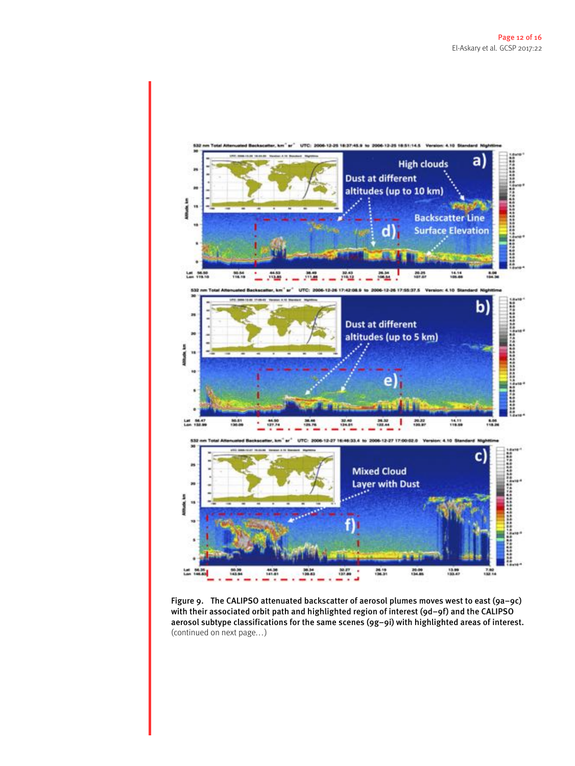<span id="page-13-0"></span>

Figure 9. The CALIPSO attenuated backscatter of aerosol plumes moves west to east (9a–9c) with their associated orbit path and highlighted region of interest (9d–9f) and the CALIPSO aerosol subtype classifications for the same scenes (9g–9i) with highlighted areas of interest. (continued on next page. . . )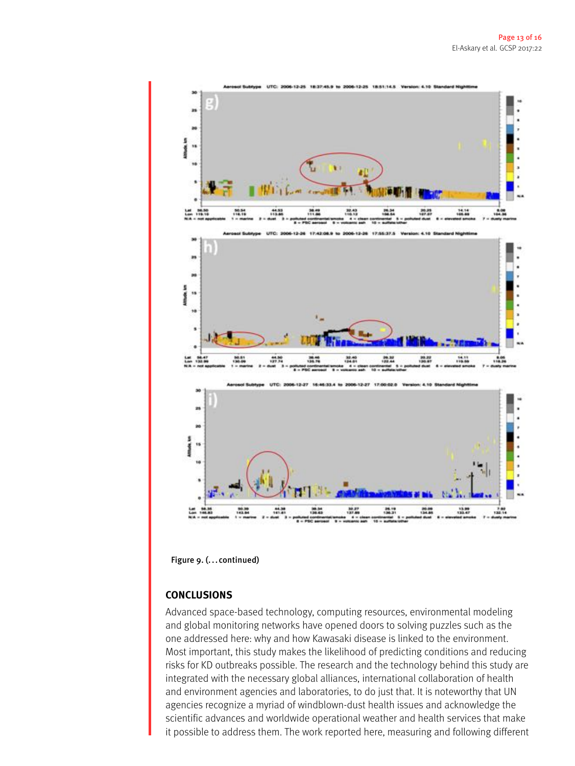

Figure 9. (...continued)

#### **CONCLUSIONS**

Advanced space-based technology, computing resources, environmental modeling and global monitoring networks have opened doors to solving puzzles such as the one addressed here: why and how Kawasaki disease is linked to the environment. Most important, this study makes the likelihood of predicting conditions and reducing risks for KD outbreaks possible. The research and the technology behind this study are integrated with the necessary global alliances, international collaboration of health and environment agencies and laboratories, to do just that. It is noteworthy that UN agencies recognize a myriad of windblown-dust health issues and acknowledge the scientific advances and worldwide operational weather and health services that make it possible to address them. The work reported here, measuring and following different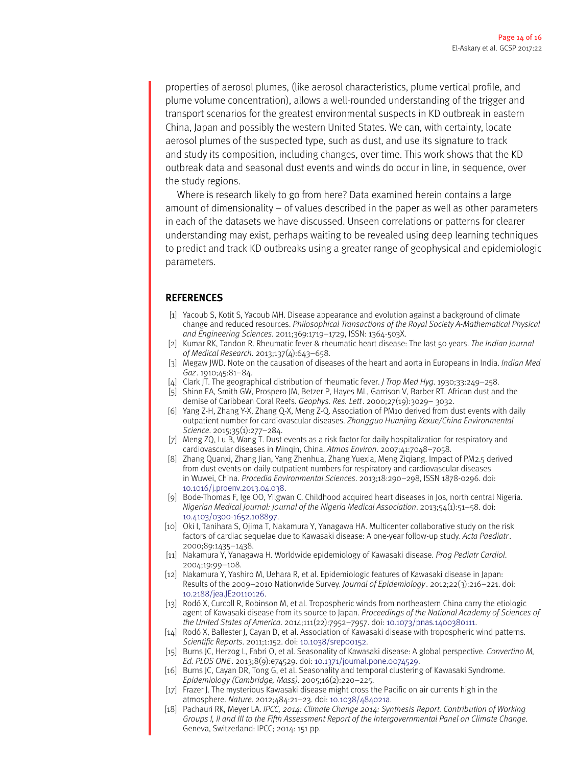properties of aerosol plumes, (like aerosol characteristics, plume vertical profile, and plume volume concentration), allows a well-rounded understanding of the trigger and transport scenarios for the greatest environmental suspects in KD outbreak in eastern China, Japan and possibly the western United States. We can, with certainty, locate aerosol plumes of the suspected type, such as dust, and use its signature to track and study its composition, including changes, over time. This work shows that the KD outbreak data and seasonal dust events and winds do occur in line, in sequence, over the study regions.

Where is research likely to go from here? Data examined herein contains a large amount of dimensionality – of values described in the paper as well as other parameters in each of the datasets we have discussed. Unseen correlations or patterns for clearer understanding may exist, perhaps waiting to be revealed using deep learning techniques to predict and track KD outbreaks using a greater range of geophysical and epidemiologic parameters.

#### **REFERENCES**

- <span id="page-15-0"></span>[1] Yacoub S, Kotit S, Yacoub MH. Disease appearance and evolution against a background of climate change and reduced resources. *Philosophical Transactions of the Royal Society A-Mathematical Physical and Engineering Sciences*. 2011;369:1719–1729, ISSN: 1364-503X.
- <span id="page-15-1"></span>[2] Kumar RK, Tandon R. Rheumatic fever & rheumatic heart disease: The last 50 years. *The Indian Journal of Medical Research*. 2013;137(4):643–658.
- <span id="page-15-2"></span>[3] Megaw JWD. Note on the causation of diseases of the heart and aorta in Europeans in India. *Indian Med Gaz*. 1910;45:81–84.
- <span id="page-15-3"></span>[4] Clark JT. The geographical distribution of rheumatic fever. *J Trop Med Hyg*. 1930;33:249–258.
- <span id="page-15-4"></span>[5] Shinn EA, Smith GW, Prospero JM, Betzer P, Hayes ML, Garrison V, Barber RT. African dust and the demise of Caribbean Coral Reefs. *Geophys. Res. Lett*. 2000;27(19):3029– 3032.
- <span id="page-15-5"></span>[6] Yang Z-H, Zhang Y-X, Zhang Q-X, Meng Z-Q. Association of PM10 derived from dust events with daily outpatient number for cardiovascular diseases. *Zhongguo Huanjing Kexue/China Environmental Science*. 2015;35(1):277–284.
- [7] Meng ZQ, Lu B, Wang T. Dust events as a risk factor for daily hospitalization for respiratory and cardiovascular diseases in Minqin, China. *Atmos Environ*. 2007;41:7048–7058.
- <span id="page-15-6"></span>[8] Zhang Quanxi, Zhang Jian, Yang Zhenhua, Zhang Yuexia, Meng Ziqiang. Impact of PM2.5 derived from dust events on daily outpatient numbers for respiratory and cardiovascular diseases in Wuwei, China. *Procedia Environmental Sciences*. 2013;18:290–298, ISSN 1878-0296. doi: [10.1016/j.proenv.2013.04.038.](http://dx.doi.org/10.1016/j.proenv.2013.04.038)
- <span id="page-15-7"></span>[9] Bode-Thomas F, Ige OO, Yilgwan C. Childhood acquired heart diseases in Jos, north central Nigeria. *Nigerian Medical Journal: Journal of the Nigeria Medical Association*. 2013;54(1):51–58. doi: [10.4103/0300-1652.108897.](http://dx.doi.org/10.4103/0300-1652.108897)
- [10] Oki I, Tanihara S, Ojima T, Nakamura Y, Yanagawa HA. Multicenter collaborative study on the risk factors of cardiac sequelae due to Kawasaki disease: A one-year follow-up study. *Acta Paediatr*. 2000;89:1435–1438.
- <span id="page-15-15"></span>[11] Nakamura Y, Yanagawa H. Worldwide epidemiology of Kawasaki disease. *Prog Pediatr Cardiol*. 2004;19:99–108.
- <span id="page-15-8"></span>[12] Nakamura Y, Yashiro M, Uehara R, et al. Epidemiologic features of Kawasaki disease in Japan: Results of the 2009–2010 Nationwide Survey. *Journal of Epidemiology* . 2012;22(3):216–221. doi: [10.2188/jea.JE20110126.](http://dx.doi.org/10.2188/jea.JE20110126)
- <span id="page-15-9"></span>[13] Rodó X, Curcoll R, Robinson M, et al. Tropospheric winds from northeastern China carry the etiologic agent of Kawasaki disease from its source to Japan. *Proceedings of the National Academy of Sciences of the United States of America*. 2014;111(22):7952–7957. doi: [10.1073/pnas.1400380111.](http://dx.doi.org/10.1073/pnas.1400380111)
- <span id="page-15-12"></span>[14] Rodó X, Ballester J, Cayan D, et al. Association of Kawasaki disease with tropospheric wind patterns. *Scientific Reports*. 2011;1:152. doi: [10.1038/srep00152.](http://dx.doi.org/10.1038/srep00152)
- <span id="page-15-14"></span>[15] Burns JC, Herzog L, Fabri O, et al. Seasonality of Kawasaki disease: A global perspective. *Convertino M, Ed. PLOS ONE* . 2013;8(9):e74529. doi: [10.1371/journal.pone.0074529.](http://dx.doi.org/10.1371/journal.pone.0074529)
- <span id="page-15-13"></span>[16] Burns JC, Cayan DR, Tong G, et al. Seasonality and temporal clustering of Kawasaki Syndrome. *Epidemiology (Cambridge, Mass)*. 2005;16(2):220–225.
- <span id="page-15-10"></span>[17] Frazer J. The mysterious Kawasaki disease might cross the Pacific on air currents high in the atmosphere. *Nature*. 2012;484:21–23. doi: [10.1038/484021a.](http://dx.doi.org/10.1038/484021a)
- <span id="page-15-11"></span>[18] Pachauri RK, Meyer LA. *IPCC, 2014: Climate Change 2014: Synthesis Report. Contribution of Working Groups I, II and III to the Fifth Assessment Report of the Intergovernmental Panel on Climate Change*. Geneva, Switzerland: IPCC; 2014: 151 pp.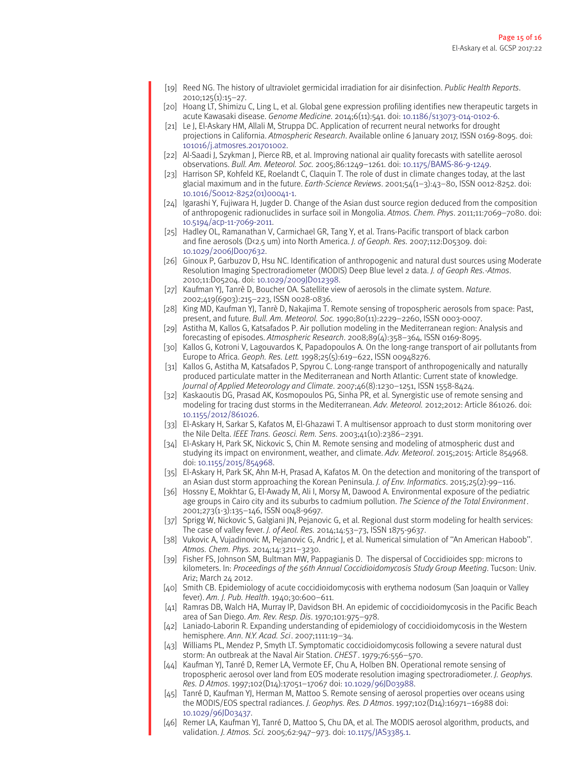- <span id="page-16-0"></span>[19] Reed NG. The history of ultraviolet germicidal irradiation for air disinfection. *Public Health Reports*. 2010;125(1):15–27.
- <span id="page-16-1"></span>[20] Hoang LT, Shimizu C, Ling L, et al. Global gene expression profiling identifies new therapeutic targets in acute Kawasaki disease. *Genome Medicine*. 2014;6(11):541. doi: [10.1186/s13073-014-0102-6.](http://dx.doi.org/10.1186/s13073-014-0102-6)
- <span id="page-16-2"></span>[21] Le J, El-Askary HM, Allali M, Struppa DC. Application of recurrent neural networks for drought projections in California. *Atmospheric Research*. Available online 6 January 2017, ISSN 0169-8095. doi: [101016/j.atmosres.201701002.](http://dx.doi.org/101016/j.atmosres.201701002)
- <span id="page-16-3"></span>[22] Al-Saadi J, Szykman J, Pierce RB, et al. Improving national air quality forecasts with satellite aerosol observations. *Bull. Am. Meteorol. Soc.* 2005;86:1249–1261. doi: [10.1175/BAMS-86-9-1249.](http://dx.doi.org/10.1175/BAMS-86-9-1249)
- <span id="page-16-4"></span>[23] Harrison SP, Kohfeld KE, Roelandt C, Claquin T. The role of dust in climate changes today, at the last glacial maximum and in the future. *Earth-Science Reviews*. 2001;54(1–3):43–80, ISSN 0012-8252. doi: [10.1016/S0012-8252\(01\)00041-1.](http://dx.doi.org/10.1016/S0012-8252(01)00041-1)
- <span id="page-16-5"></span>[24] Igarashi Y, Fujiwara H, Jugder D. Change of the Asian dust source region deduced from the composition of anthropogenic radionuclides in surface soil in Mongolia. *Atmos. Chem. Phys*. 2011;11:7069–7080. doi: [10.5194/acp-11-7069-2011.](http://dx.doi.org/10.5194/acp-11-7069-2011)
- <span id="page-16-6"></span>[25] Hadley OL, Ramanathan V, Carmichael GR, Tang Y, et al. Trans-Pacific transport of black carbon and fine aerosols (D<2.5 um) into North America. *J. of Geoph. Res.* 2007;112:D05309. doi: [10.1029/2006JD007632.](http://dx.doi.org/10.1029/2006JD007632)
- <span id="page-16-7"></span>[26] Ginoux P, Garbuzov D, Hsu NC. Identification of anthropogenic and natural dust sources using Moderate Resolution Imaging Spectroradiometer (MODIS) Deep Blue level 2 data. *J. of Geoph Res.-Atmos*. 2010;11:D05204. doi: [10.1029/2009JD012398.](http://dx.doi.org/10.1029/2009JD012398)
- [27] Kaufman YJ, Tanrè D, Boucher OA. Satellite view of aerosols in the climate system. *Nature*. 2002;419(6903):215–223, ISSN 0028-0836.
- <span id="page-16-8"></span>[28] King MD, Kaufman YJ, Tanrè D, Nakajima T. Remote sensing of tropospheric aerosols from space: Past, present, and future. *Bull. Am. Meteorol. Soc.* 1990;80(11):2229–2260, ISSN 0003-0007.
- <span id="page-16-9"></span>[29] Astitha M, Kallos G, Katsafados P. Air pollution modeling in the Mediterranean region: Analysis and forecasting of episodes. *Atmospheric Research*. 2008;89(4):358–364, ISSN 0169-8095.
- [30] Kallos G, Kotroni V, Lagouvardos K, Papadopoulos A. On the long-range transport of air pollutants from Europe to Africa. *Geoph. Res. Lett.* 1998;25(5):619–622, ISSN 00948276.
- [31] Kallos G, Astitha M, Katsafados P, Spyrou C. Long-range transport of anthropogenically and naturally produced particulate matter in the Mediterranean and North Atlantic: Current state of knowledge. *Journal of Applied Meteorology and Climate*. 2007;46(8):1230–1251, ISSN 1558-8424.
- [32] Kaskaoutis DG, Prasad AK, Kosmopoulos PG, Sinha PR, et al. Synergistic use of remote sensing and modeling for tracing dust storms in the Mediterranean. *Adv. Meteorol.* 2012;2012: Article 861026. doi: [10.1155/2012/861026.](http://dx.doi.org/10.1155/2012/861026)
- [33] El-Askary H, Sarkar S, Kafatos M, El-Ghazawi T. A multisensor approach to dust storm monitoring over the Nile Delta. *IEEE Trans. Geosci. Rem. Sens*. 2003;41(10):2386–2391.
- [34] El-Askary H, Park SK, Nickovic S, Chin M. Remote sensing and modeling of atmospheric dust and studying its impact on environment, weather, and climate. *Adv. Meteorol*. 2015;2015: Article 854968. doi: [10.1155/2015/854968.](http://dx.doi.org/10.1155/2015/854968)
- <span id="page-16-10"></span>[35] El-Askary H, Park SK, Ahn M-H, Prasad A, Kafatos M. On the detection and monitoring of the transport of an Asian dust storm approaching the Korean Peninsula. *J. of Env. Informatics*. 2015;25(2):99–116.
- <span id="page-16-11"></span>[36] Hossny E, Mokhtar G, El-Awady M, Ali I, Morsy M, Dawood A. Environmental exposure of the pediatric age groups in Cairo city and its suburbs to cadmium pollution. *The Science of the Total Environment*. 2001;273(1-3):135–146, ISSN 0048-9697.
- <span id="page-16-12"></span>[37] Sprigg W, Nickovic S, Galgiani JN, Pejanovic G, et al. Regional dust storm modeling for health services: The case of valley fever. *J. of Aeol. Res.* 2014;14:53–73, ISSN 1875-9637.
- <span id="page-16-13"></span>[38] Vukovic A, Vujadinovic M, Pejanovic G, Andric J, et al. Numerical simulation of ''An American Haboob''. *Atmos. Chem. Phys.* 2014;14:3211–3230.
- <span id="page-16-14"></span>[39] Fisher FS, Johnson SM, Bultman MW, Pappagianis D. The dispersal of Coccidioides spp: microns to kilometers. In: *Proceedings of the 56th Annual Coccidioidomycosis Study Group Meeting*. Tucson: Univ. Ariz; March 24 2012.
- [40] Smith CB. Epidemiology of acute coccidioidomycosis with erythema nodosum (San Joaquin or Valley fever). *Am. J. Pub. Health*. 1940;30:600–611.
- [41] Ramras DB, Walch HA, Murray IP, Davidson BH. An epidemic of coccidioidomycosis in the Pacific Beach area of San Diego. *Am. Rev. Resp. Dis*. 1970;101:975–978.
- [42] Laniado-Laborin R. Expanding understanding of epidemiology of coccidioidomycosis in the Western hemisphere. *Ann. N.Y. Acad. Sci*. 2007;1111:19–34.
- <span id="page-16-15"></span>[43] Williams PL, Mendez P, Smyth LT. Symptomatic coccidioidomycosis following a severe natural dust storm: An outbreak at the Naval Air Station. *CHEST* . 1979;76:556–570.
- <span id="page-16-16"></span>[44] Kaufman YJ, Tanré D, Remer LA, Vermote EF, Chu A, Holben BN. Operational remote sensing of tropospheric aerosol over land from EOS moderate resolution imaging spectroradiometer. *J. Geophys. Res. D Atmos*. 1997;102(D14):17051–17067 doi: [10.1029/96JD03988.](http://dx.doi.org/10.1029/96JD03988)
- <span id="page-16-17"></span>[45] Tanré D, Kaufman YJ, Herman M, Mattoo S. Remote sensing of aerosol properties over oceans using the MODIS/EOS spectral radiances. *J. Geophys. Res. D Atmos*. 1997;102(D14):16971–16988 doi: [10.1029/96JD03437.](http://dx.doi.org/10.1029/96JD03437)
- <span id="page-16-18"></span>[46] Remer LA, Kaufman YJ, Tanré D, Mattoo S, Chu DA, et al. The MODIS aerosol algorithm, products, and validation. *J. Atmos. Sci.* 2005;62:947–973. doi: [10.1175/JAS3385.1.](http://dx.doi.org/10.1175/JAS3385.1)